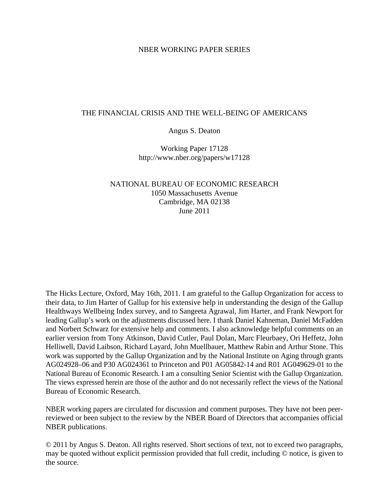#### NBER WORKING PAPER SERIES

#### THE FINANCIAL CRISIS AND THE WELL-BEING OF AMERICANS

#### Angus S. Deaton

Working Paper 17128 http://www.nber.org/papers/w17128

#### NATIONAL BUREAU OF ECONOMIC RESEARCH 1050 Massachusetts Avenue Cambridge, MA 02138 June 2011

The Hicks Lecture, Oxford, May 16th, 2011. I am grateful to the Gallup Organization for access to their data, to Jim Harter of Gallup for his extensive help in understanding the design of the Gallup Healthways Wellbeing Index survey, and to Sangeeta Agrawal, Jim Harter, and Frank Newport for leading Gallup's work on the adjustments discussed here. I thank Daniel Kahneman, Daniel McFadden and Norbert Schwarz for extensive help and comments. I also acknowledge helpful comments on an earlier version from Tony Atkinson, David Cutler, Paul Dolan, Marc Fleurbaey, Ori Heffetz, John Helliwell, David Laibson, Richard Layard, John Muellbauer, Matthew Rabin and Arthur Stone. This work was supported by the Gallup Organization and by the National Institute on Aging through grants AG024928–06 and P30 AG024361 to Princeton and P01 AG05842-14 and R01 AG049629-01 to the National Bureau of Economic Research. I am a consulting Senior Scientist with the Gallup Organization. The views expressed herein are those of the author and do not necessarily reflect the views of the National Bureau of Economic Research.

NBER working papers are circulated for discussion and comment purposes. They have not been peerreviewed or been subject to the review by the NBER Board of Directors that accompanies official NBER publications.

© 2011 by Angus S. Deaton. All rights reserved. Short sections of text, not to exceed two paragraphs, may be quoted without explicit permission provided that full credit, including © notice, is given to the source.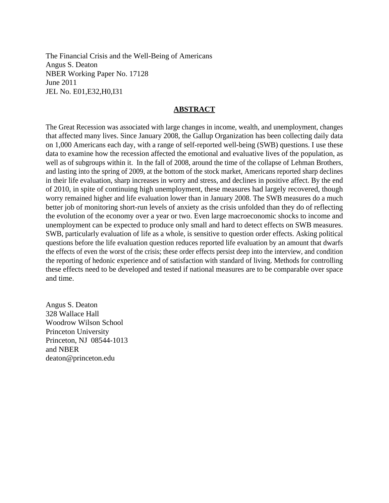The Financial Crisis and the Well-Being of Americans Angus S. Deaton NBER Working Paper No. 17128 June 2011 JEL No. E01,E32,H0,I31

#### **ABSTRACT**

The Great Recession was associated with large changes in income, wealth, and unemployment, changes that affected many lives. Since January 2008, the Gallup Organization has been collecting daily data on 1,000 Americans each day, with a range of self-reported well-being (SWB) questions. I use these data to examine how the recession affected the emotional and evaluative lives of the population, as well as of subgroups within it. In the fall of 2008, around the time of the collapse of Lehman Brothers, and lasting into the spring of 2009, at the bottom of the stock market, Americans reported sharp declines in their life evaluation, sharp increases in worry and stress, and declines in positive affect. By the end of 2010, in spite of continuing high unemployment, these measures had largely recovered, though worry remained higher and life evaluation lower than in January 2008. The SWB measures do a much better job of monitoring short-run levels of anxiety as the crisis unfolded than they do of reflecting the evolution of the economy over a year or two. Even large macroeconomic shocks to income and unemployment can be expected to produce only small and hard to detect effects on SWB measures. SWB, particularly evaluation of life as a whole, is sensitive to question order effects. Asking political questions before the life evaluation question reduces reported life evaluation by an amount that dwarfs the effects of even the worst of the crisis; these order effects persist deep into the interview, and condition the reporting of hedonic experience and of satisfaction with standard of living. Methods for controlling these effects need to be developed and tested if national measures are to be comparable over space and time.

Angus S. Deaton 328 Wallace Hall Woodrow Wilson School Princeton University Princeton, NJ 08544-1013 and NBER deaton@princeton.edu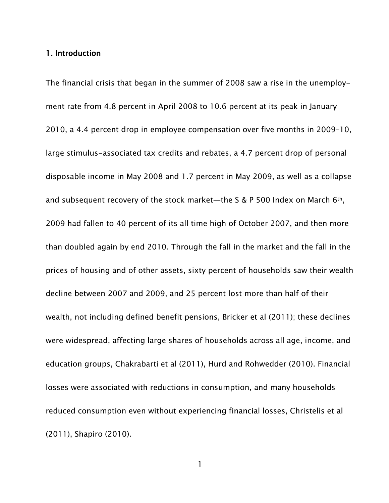#### 1. Introduction

The financial crisis that began in the summer of 2008 saw a rise in the unemployment rate from 4.8 percent in April 2008 to 10.6 percent at its peak in January 2010, a 4.4 percent drop in employee compensation over five months in 2009–10, large stimulus-associated tax credits and rebates, a 4.7 percent drop of personal disposable income in May 2008 and 1.7 percent in May 2009, as well as a collapse and subsequent recovery of the stock market—the S & P 500 Index on March  $6<sup>th</sup>$ , 2009 had fallen to 40 percent of its all time high of October 2007, and then more than doubled again by end 2010. Through the fall in the market and the fall in the prices of housing and of other assets, sixty percent of households saw their wealth decline between 2007 and 2009, and 25 percent lost more than half of their wealth, not including defined benefit pensions, Bricker et al (2011); these declines were widespread, affecting large shares of households across all age, income, and education groups, Chakrabarti et al (2011), Hurd and Rohwedder (2010). Financial losses were associated with reductions in consumption, and many households reduced consumption even without experiencing financial losses, Christelis et al (2011), Shapiro (2010).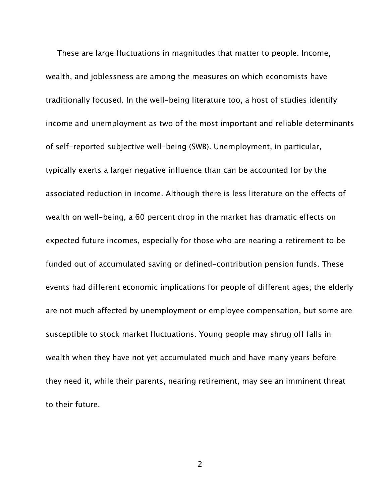These are large fluctuations in magnitudes that matter to people. Income, wealth, and joblessness are among the measures on which economists have traditionally focused. In the well-being literature too, a host of studies identify income and unemployment as two of the most important and reliable determinants of self-reported subjective well-being (SWB). Unemployment, in particular, typically exerts a larger negative influence than can be accounted for by the associated reduction in income. Although there is less literature on the effects of wealth on well-being, a 60 percent drop in the market has dramatic effects on expected future incomes, especially for those who are nearing a retirement to be funded out of accumulated saving or defined-contribution pension funds. These events had different economic implications for people of different ages; the elderly are not much affected by unemployment or employee compensation, but some are susceptible to stock market fluctuations. Young people may shrug off falls in wealth when they have not yet accumulated much and have many years before they need it, while their parents, nearing retirement, may see an imminent threat to their future.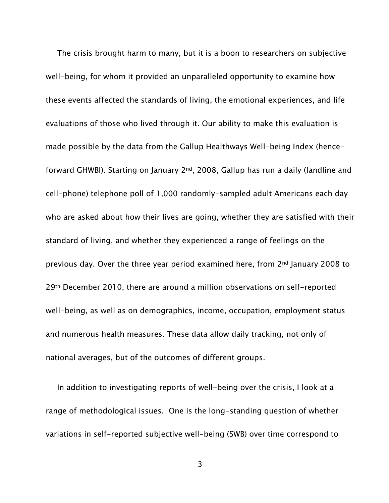The crisis brought harm to many, but it is a boon to researchers on subjective well-being, for whom it provided an unparalleled opportunity to examine how these events affected the standards of living, the emotional experiences, and life evaluations of those who lived through it. Our ability to make this evaluation is made possible by the data from the Gallup Healthways Well-being Index (henceforward GHWBI). Starting on January 2nd, 2008, Gallup has run a daily (landline and cell-phone) telephone poll of 1,000 randomly-sampled adult Americans each day who are asked about how their lives are going, whether they are satisfied with their standard of living, and whether they experienced a range of feelings on the previous day. Over the three year period examined here, from 2nd January 2008 to 29th December 2010, there are around a million observations on self-reported well-being, as well as on demographics, income, occupation, employment status and numerous health measures. These data allow daily tracking, not only of national averages, but of the outcomes of different groups.

In addition to investigating reports of well-being over the crisis, I look at a range of methodological issues. One is the long-standing question of whether variations in self-reported subjective well-being (SWB) over time correspond to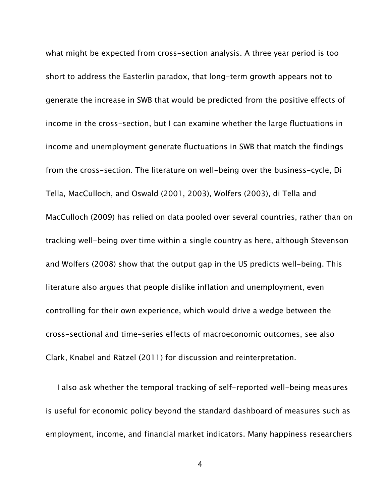what might be expected from cross-section analysis. A three year period is too short to address the Easterlin paradox, that long-term growth appears not to generate the increase in SWB that would be predicted from the positive effects of income in the cross-section, but I can examine whether the large fluctuations in income and unemployment generate fluctuations in SWB that match the findings from the cross-section. The literature on well-being over the business-cycle, Di Tella, MacCulloch, and Oswald (2001, 2003), Wolfers (2003), di Tella and MacCulloch (2009) has relied on data pooled over several countries, rather than on tracking well-being over time within a single country as here, although Stevenson and Wolfers (2008) show that the output gap in the US predicts well-being. This literature also argues that people dislike inflation and unemployment, even controlling for their own experience, which would drive a wedge between the cross-sectional and time-series effects of macroeconomic outcomes, see also Clark, Knabel and Rätzel (2011) for discussion and reinterpretation.

I also ask whether the temporal tracking of self-reported well-being measures is useful for economic policy beyond the standard dashboard of measures such as employment, income, and financial market indicators. Many happiness researchers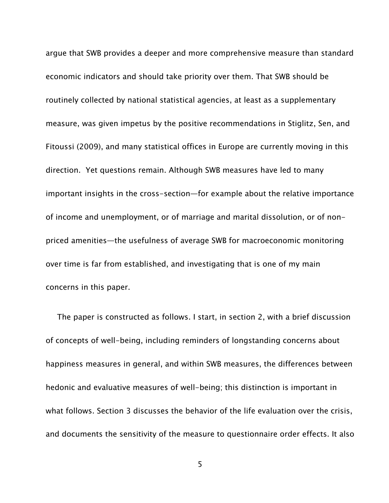argue that SWB provides a deeper and more comprehensive measure than standard economic indicators and should take priority over them. That SWB should be routinely collected by national statistical agencies, at least as a supplementary measure, was given impetus by the positive recommendations in Stiglitz, Sen, and Fitoussi (2009), and many statistical offices in Europe are currently moving in this direction. Yet questions remain. Although SWB measures have led to many important insights in the cross-section—for example about the relative importance of income and unemployment, or of marriage and marital dissolution, or of nonpriced amenities—the usefulness of average SWB for macroeconomic monitoring over time is far from established, and investigating that is one of my main concerns in this paper.

The paper is constructed as follows. I start, in section 2, with a brief discussion of concepts of well-being, including reminders of longstanding concerns about happiness measures in general, and within SWB measures, the differences between hedonic and evaluative measures of well-being; this distinction is important in what follows. Section 3 discusses the behavior of the life evaluation over the crisis, and documents the sensitivity of the measure to questionnaire order effects. It also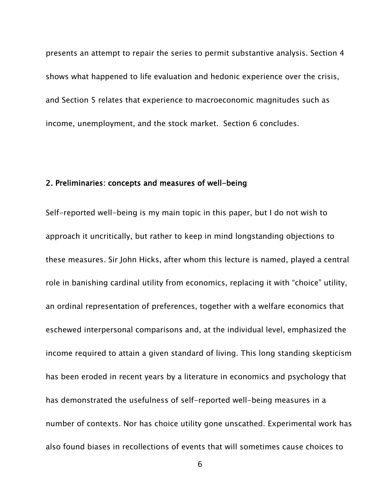presents an attempt to repair the series to permit substantive analysis. Section 4 shows what happened to life evaluation and hedonic experience over the crisis, and Section 5 relates that experience to macroeconomic magnitudes such as income, unemployment, and the stock market. Section 6 concludes.

### 2. Preliminaries: concepts and measures of well-being

Self-reported well-being is my main topic in this paper, but I do not wish to approach it uncritically, but rather to keep in mind longstanding objections to these measures. Sir John Hicks, after whom this lecture is named, played a central role in banishing cardinal utility from economics, replacing it with "choice" utility, an ordinal representation of preferences, together with a welfare economics that eschewed interpersonal comparisons and, at the individual level, emphasized the income required to attain a given standard of living. This long standing skepticism has been eroded in recent years by a literature in economics and psychology that has demonstrated the usefulness of self-reported well-being measures in a number of contexts. Nor has choice utility gone unscathed. Experimental work has also found biases in recollections of events that will sometimes cause choices to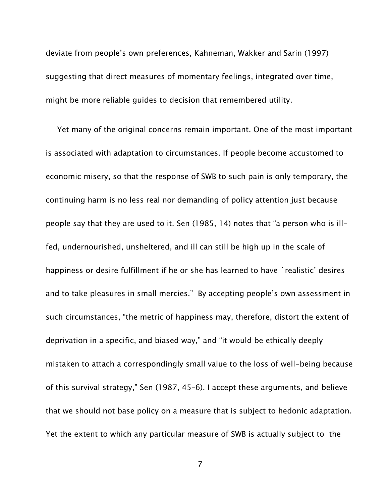deviate from people's own preferences, Kahneman, Wakker and Sarin (1997) suggesting that direct measures of momentary feelings, integrated over time, might be more reliable guides to decision that remembered utility.

Yet many of the original concerns remain important. One of the most important is associated with adaptation to circumstances. If people become accustomed to economic misery, so that the response of SWB to such pain is only temporary, the continuing harm is no less real nor demanding of policy attention just because people say that they are used to it. Sen (1985, 14) notes that "a person who is illfed, undernourished, unsheltered, and ill can still be high up in the scale of happiness or desire fulfillment if he or she has learned to have `realistic' desires and to take pleasures in small mercies." By accepting people's own assessment in such circumstances, "the metric of happiness may, therefore, distort the extent of deprivation in a specific, and biased way," and "it would be ethically deeply mistaken to attach a correspondingly small value to the loss of well-being because of this survival strategy," Sen (1987, 45–6). I accept these arguments, and believe that we should not base policy on a measure that is subject to hedonic adaptation. Yet the extent to which any particular measure of SWB is actually subject to the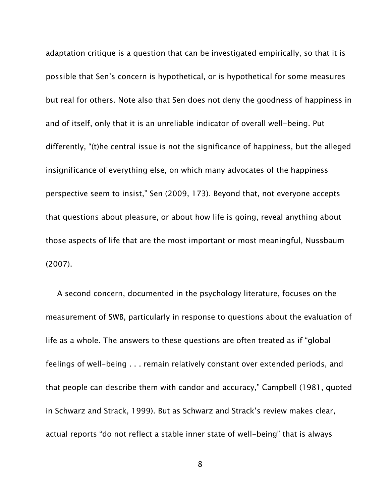adaptation critique is a question that can be investigated empirically, so that it is possible that Sen's concern is hypothetical, or is hypothetical for some measures but real for others. Note also that Sen does not deny the goodness of happiness in and of itself, only that it is an unreliable indicator of overall well-being. Put differently, "(t)he central issue is not the significance of happiness, but the alleged insignificance of everything else, on which many advocates of the happiness perspective seem to insist," Sen (2009, 173). Beyond that, not everyone accepts that questions about pleasure, or about how life is going, reveal anything about those aspects of life that are the most important or most meaningful, Nussbaum (2007).

A second concern, documented in the psychology literature, focuses on the measurement of SWB, particularly in response to questions about the evaluation of life as a whole. The answers to these questions are often treated as if "global feelings of well-being . . . remain relatively constant over extended periods, and that people can describe them with candor and accuracy," Campbell (1981, quoted in Schwarz and Strack, 1999). But as Schwarz and Strack's review makes clear, actual reports "do not reflect a stable inner state of well-being" that is always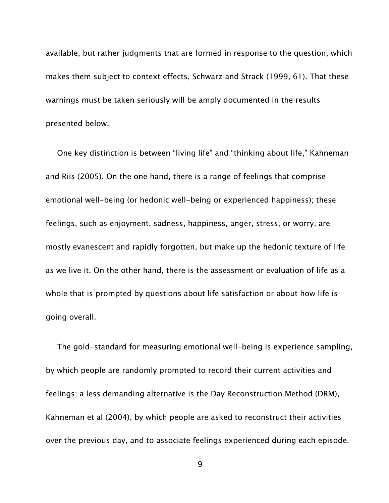available, but rather judgments that are formed in response to the question, which makes them subject to context effects, Schwarz and Strack (1999, 61). That these warnings must be taken seriously will be amply documented in the results presented below.

One key distinction is between "living life" and "thinking about life," Kahneman and Riis (2005). On the one hand, there is a range of feelings that comprise emotional well-being (or hedonic well-being or experienced happiness); these feelings, such as enjoyment, sadness, happiness, anger, stress, or worry, are mostly evanescent and rapidly forgotten, but make up the hedonic texture of life as we live it. On the other hand, there is the assessment or evaluation of life as a whole that is prompted by questions about life satisfaction or about how life is going overall.

The gold-standard for measuring emotional well-being is experience sampling, by which people are randomly prompted to record their current activities and feelings; a less demanding alternative is the Day Reconstruction Method (DRM), Kahneman et al (2004), by which people are asked to reconstruct their activities over the previous day, and to associate feelings experienced during each episode.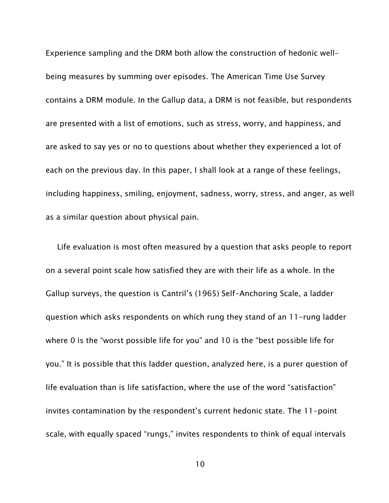Experience sampling and the DRM both allow the construction of hedonic wellbeing measures by summing over episodes. The American Time Use Survey contains a DRM module. In the Gallup data, a DRM is not feasible, but respondents are presented with a list of emotions, such as stress, worry, and happiness, and are asked to say yes or no to questions about whether they experienced a lot of each on the previous day. In this paper, I shall look at a range of these feelings, including happiness, smiling, enjoyment, sadness, worry, stress, and anger, as well as a similar question about physical pain.

Life evaluation is most often measured by a question that asks people to report on a several point scale how satisfied they are with their life as a whole. In the Gallup surveys, the question is Cantril's (1965) Self-Anchoring Scale, a ladder question which asks respondents on which rung they stand of an 11-rung ladder where 0 is the "worst possible life for you" and 10 is the "best possible life for you." It is possible that this ladder question, analyzed here, is a purer question of life evaluation than is life satisfaction, where the use of the word "satisfaction" invites contamination by the respondent's current hedonic state. The 11-point scale, with equally spaced "rungs," invites respondents to think of equal intervals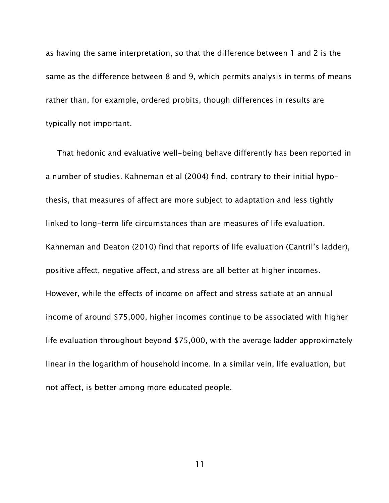as having the same interpretation, so that the difference between 1 and 2 is the same as the difference between 8 and 9, which permits analysis in terms of means rather than, for example, ordered probits, though differences in results are typically not important.

That hedonic and evaluative well-being behave differently has been reported in a number of studies. Kahneman et al (2004) find, contrary to their initial hypothesis, that measures of affect are more subject to adaptation and less tightly linked to long-term life circumstances than are measures of life evaluation. Kahneman and Deaton (2010) find that reports of life evaluation (Cantril's ladder), positive affect, negative affect, and stress are all better at higher incomes. However, while the effects of income on affect and stress satiate at an annual income of around \$75,000, higher incomes continue to be associated with higher life evaluation throughout beyond \$75,000, with the average ladder approximately linear in the logarithm of household income. In a similar vein, life evaluation, but not affect, is better among more educated people.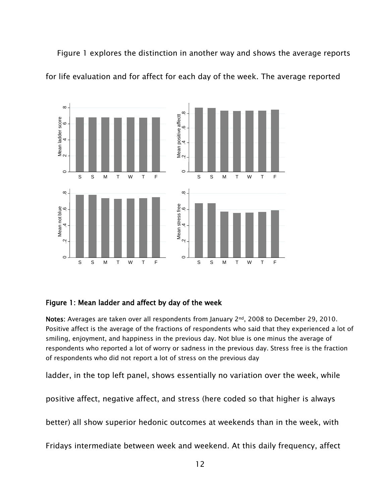Figure 1 explores the distinction in another way and shows the average reports for life evaluation and for affect for each day of the week. The average reported



### Figure 1: Mean ladder and affect by day of the week

Notes: Averages are taken over all respondents from January 2<sup>nd</sup>, 2008 to December 29, 2010. Positive affect is the average of the fractions of respondents who said that they experienced a lot of smiling, enjoyment, and happiness in the previous day. Not blue is one minus the average of respondents who reported a lot of worry or sadness in the previous day. Stress free is the fraction of respondents who did not report a lot of stress on the previous day

ladder, in the top left panel, shows essentially no variation over the week, while

positive affect, negative affect, and stress (here coded so that higher is always

better) all show superior hedonic outcomes at weekends than in the week, with

Fridays intermediate between week and weekend. At this daily frequency, affect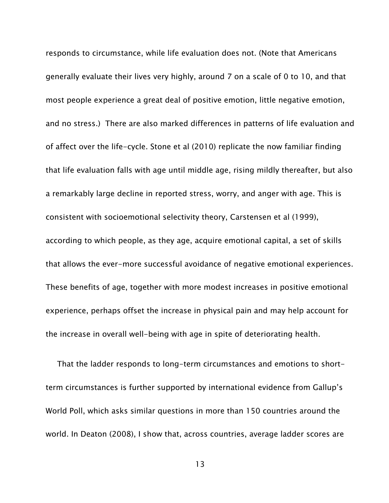responds to circumstance, while life evaluation does not. (Note that Americans generally evaluate their lives very highly, around 7 on a scale of 0 to 10, and that most people experience a great deal of positive emotion, little negative emotion, and no stress.) There are also marked differences in patterns of life evaluation and of affect over the life-cycle. Stone et al (2010) replicate the now familiar finding that life evaluation falls with age until middle age, rising mildly thereafter, but also a remarkably large decline in reported stress, worry, and anger with age. This is consistent with socioemotional selectivity theory, Carstensen et al (1999), according to which people, as they age, acquire emotional capital, a set of skills that allows the ever-more successful avoidance of negative emotional experiences. These benefits of age, together with more modest increases in positive emotional experience, perhaps offset the increase in physical pain and may help account for the increase in overall well-being with age in spite of deteriorating health.

That the ladder responds to long-term circumstances and emotions to shortterm circumstances is further supported by international evidence from Gallup's World Poll, which asks similar questions in more than 150 countries around the world. In Deaton (2008), I show that, across countries, average ladder scores are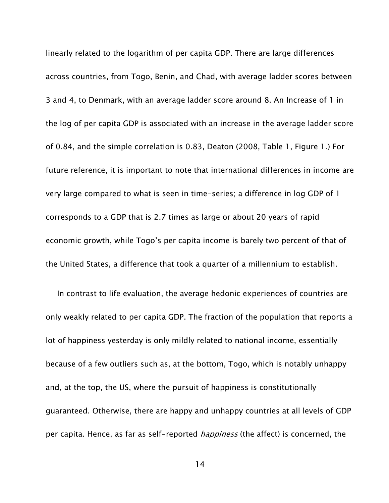linearly related to the logarithm of per capita GDP. There are large differences across countries, from Togo, Benin, and Chad, with average ladder scores between 3 and 4, to Denmark, with an average ladder score around 8. An Increase of 1 in the log of per capita GDP is associated with an increase in the average ladder score of 0.84, and the simple correlation is 0.83, Deaton (2008, Table 1, Figure 1.) For future reference, it is important to note that international differences in income are very large compared to what is seen in time-series; a difference in log GDP of 1 corresponds to a GDP that is 2.7 times as large or about 20 years of rapid economic growth, while Togo's per capita income is barely two percent of that of the United States, a difference that took a quarter of a millennium to establish.

In contrast to life evaluation, the average hedonic experiences of countries are only weakly related to per capita GDP. The fraction of the population that reports a lot of happiness yesterday is only mildly related to national income, essentially because of a few outliers such as, at the bottom, Togo, which is notably unhappy and, at the top, the US, where the pursuit of happiness is constitutionally guaranteed. Otherwise, there are happy and unhappy countries at all levels of GDP per capita. Hence, as far as self-reported *happiness* (the affect) is concerned, the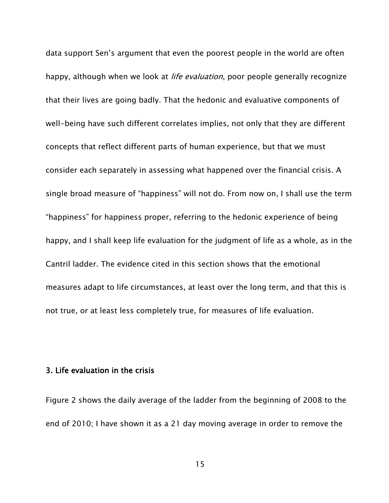data support Sen's argument that even the poorest people in the world are often happy, although when we look at *life evaluation*, poor people generally recognize that their lives are going badly. That the hedonic and evaluative components of well-being have such different correlates implies, not only that they are different concepts that reflect different parts of human experience, but that we must consider each separately in assessing what happened over the financial crisis. A single broad measure of "happiness" will not do. From now on, I shall use the term "happiness" for happiness proper, referring to the hedonic experience of being happy, and I shall keep life evaluation for the judgment of life as a whole, as in the Cantril ladder. The evidence cited in this section shows that the emotional measures adapt to life circumstances, at least over the long term, and that this is not true, or at least less completely true, for measures of life evaluation.

#### 3. Life evaluation in the crisis

Figure 2 shows the daily average of the ladder from the beginning of 2008 to the end of 2010; I have shown it as a 21 day moving average in order to remove the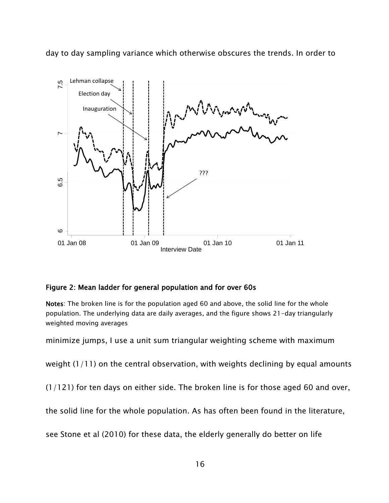day to day sampling variance which otherwise obscures the trends. In order to



### Figure 2: Mean ladder for general population and for over 60s

Notes: The broken line is for the population aged 60 and above, the solid line for the whole population. The underlying data are daily averages, and the figure shows 21-day triangularly weighted moving averages

minimize jumps, I use a unit sum triangular weighting scheme with maximum

weight  $(1/11)$  on the central observation, with weights declining by equal amounts

(1/121) for ten days on either side. The broken line is for those aged 60 and over,

the solid line for the whole population. As has often been found in the literature,

see Stone et al (2010) for these data, the elderly generally do better on life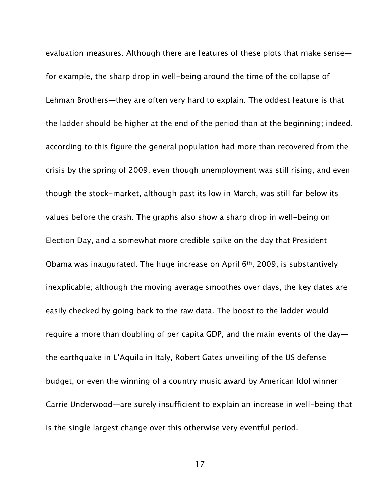evaluation measures. Although there are features of these plots that make sense for example, the sharp drop in well-being around the time of the collapse of Lehman Brothers—they are often very hard to explain. The oddest feature is that the ladder should be higher at the end of the period than at the beginning; indeed, according to this figure the general population had more than recovered from the crisis by the spring of 2009, even though unemployment was still rising, and even though the stock-market, although past its low in March, was still far below its values before the crash. The graphs also show a sharp drop in well-being on Election Day, and a somewhat more credible spike on the day that President Obama was inaugurated. The huge increase on April 6th, 2009, is substantively inexplicable; although the moving average smoothes over days, the key dates are easily checked by going back to the raw data. The boost to the ladder would require a more than doubling of per capita GDP, and the main events of the day the earthquake in L'Aquila in Italy, Robert Gates unveiling of the US defense budget, or even the winning of a country music award by American Idol winner Carrie Underwood—are surely insufficient to explain an increase in well-being that is the single largest change over this otherwise very eventful period.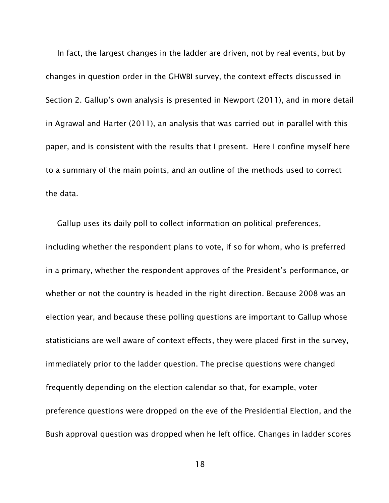In fact, the largest changes in the ladder are driven, not by real events, but by changes in question order in the GHWBI survey, the context effects discussed in Section 2. Gallup's own analysis is presented in Newport (2011), and in more detail in Agrawal and Harter (2011), an analysis that was carried out in parallel with this paper, and is consistent with the results that I present. Here I confine myself here to a summary of the main points, and an outline of the methods used to correct the data.

Gallup uses its daily poll to collect information on political preferences, including whether the respondent plans to vote, if so for whom, who is preferred in a primary, whether the respondent approves of the President's performance, or whether or not the country is headed in the right direction. Because 2008 was an election year, and because these polling questions are important to Gallup whose statisticians are well aware of context effects, they were placed first in the survey, immediately prior to the ladder question. The precise questions were changed frequently depending on the election calendar so that, for example, voter preference questions were dropped on the eve of the Presidential Election, and the Bush approval question was dropped when he left office. Changes in ladder scores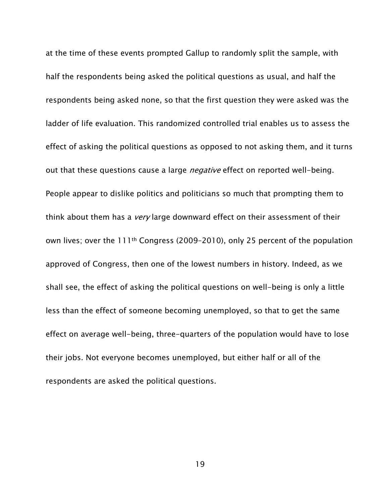at the time of these events prompted Gallup to randomly split the sample, with half the respondents being asked the political questions as usual, and half the respondents being asked none, so that the first question they were asked was the ladder of life evaluation. This randomized controlled trial enables us to assess the effect of asking the political questions as opposed to not asking them, and it turns out that these questions cause a large *negative* effect on reported well-being. People appear to dislike politics and politicians so much that prompting them to think about them has a *very* large downward effect on their assessment of their own lives; over the 111th Congress (2009–2010), only 25 percent of the population approved of Congress, then one of the lowest numbers in history. Indeed, as we shall see, the effect of asking the political questions on well-being is only a little less than the effect of someone becoming unemployed, so that to get the same effect on average well-being, three-quarters of the population would have to lose their jobs. Not everyone becomes unemployed, but either half or all of the respondents are asked the political questions.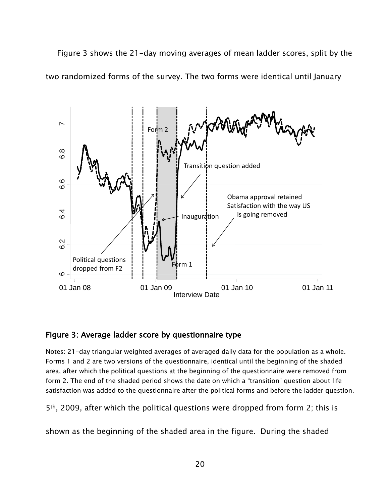Figure 3 shows the 21-day moving averages of mean ladder scores, split by the two randomized forms of the survey. The two forms were identical until January



#### Figure 3: Average ladder score by questionnaire type

Notes: 21-day triangular weighted averages of averaged daily data for the population as a whole. Forms 1 and 2 are two versions of the questionnaire, identical until the beginning of the shaded area, after which the political questions at the beginning of the questionnaire were removed from form 2. The end of the shaded period shows the date on which a "transition" question about life satisfaction was added to the questionnaire after the political forms and before the ladder question.

5th, 2009, after which the political questions were dropped from form 2; this is

shown as the beginning of the shaded area in the figure. During the shaded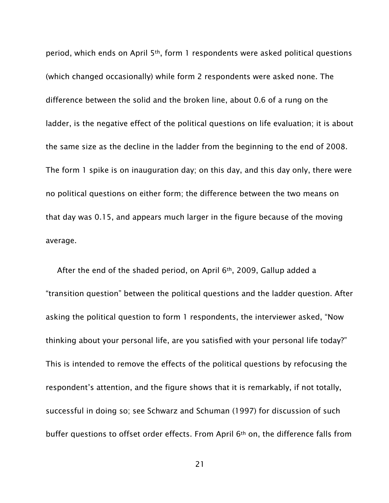period, which ends on April 5th, form 1 respondents were asked political questions (which changed occasionally) while form 2 respondents were asked none. The difference between the solid and the broken line, about 0.6 of a rung on the ladder, is the negative effect of the political questions on life evaluation; it is about the same size as the decline in the ladder from the beginning to the end of 2008. The form 1 spike is on inauguration day; on this day, and this day only, there were no political questions on either form; the difference between the two means on that day was 0.15, and appears much larger in the figure because of the moving average.

After the end of the shaded period, on April 6<sup>th</sup>, 2009, Gallup added a "transition question" between the political questions and the ladder question. After asking the political question to form 1 respondents, the interviewer asked, "Now thinking about your personal life, are you satisfied with your personal life today?" This is intended to remove the effects of the political questions by refocusing the respondent's attention, and the figure shows that it is remarkably, if not totally, successful in doing so; see Schwarz and Schuman (1997) for discussion of such buffer questions to offset order effects. From April 6th on, the difference falls from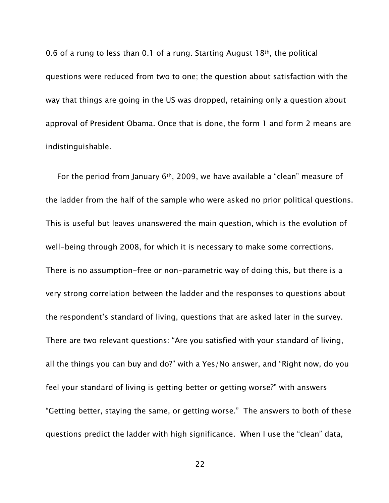0.6 of a rung to less than 0.1 of a rung. Starting August 18th, the political questions were reduced from two to one; the question about satisfaction with the way that things are going in the US was dropped, retaining only a question about approval of President Obama. Once that is done, the form 1 and form 2 means are indistinguishable.

For the period from January  $6<sup>th</sup>$ , 2009, we have available a "clean" measure of the ladder from the half of the sample who were asked no prior political questions. This is useful but leaves unanswered the main question, which is the evolution of well-being through 2008, for which it is necessary to make some corrections. There is no assumption-free or non-parametric way of doing this, but there is a very strong correlation between the ladder and the responses to questions about the respondent's standard of living, questions that are asked later in the survey. There are two relevant questions: "Are you satisfied with your standard of living, all the things you can buy and do?" with a Yes/No answer, and "Right now, do you feel your standard of living is getting better or getting worse?" with answers "Getting better, staying the same, or getting worse." The answers to both of these questions predict the ladder with high significance. When I use the "clean" data,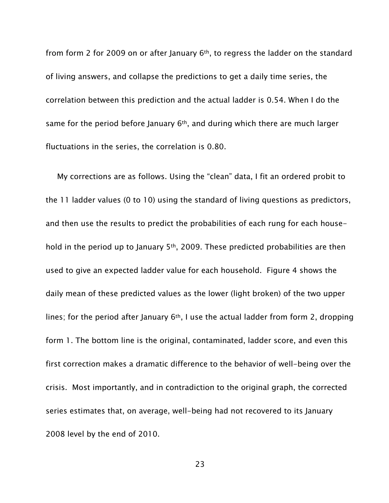from form 2 for 2009 on or after January 6th, to regress the ladder on the standard of living answers, and collapse the predictions to get a daily time series, the correlation between this prediction and the actual ladder is 0.54. When I do the same for the period before January  $6<sup>th</sup>$ , and during which there are much larger fluctuations in the series, the correlation is 0.80.

My corrections are as follows. Using the "clean" data, I fit an ordered probit to the 11 ladder values (0 to 10) using the standard of living questions as predictors, and then use the results to predict the probabilities of each rung for each household in the period up to January 5th, 2009. These predicted probabilities are then used to give an expected ladder value for each household. Figure 4 shows the daily mean of these predicted values as the lower (light broken) of the two upper lines; for the period after January 6<sup>th</sup>, I use the actual ladder from form 2, dropping form 1. The bottom line is the original, contaminated, ladder score, and even this first correction makes a dramatic difference to the behavior of well-being over the crisis. Most importantly, and in contradiction to the original graph, the corrected series estimates that, on average, well-being had not recovered to its January 2008 level by the end of 2010.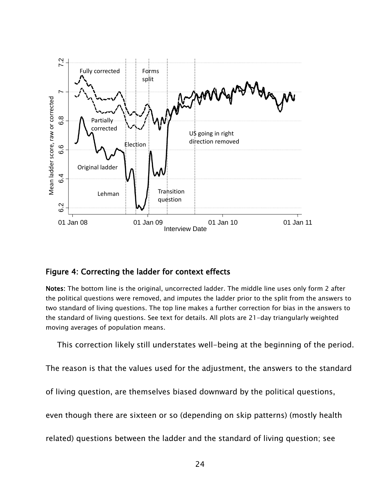

### Figure 4: Correcting the ladder for context effects

Notes: The bottom line is the original, uncorrected ladder. The middle line uses only form 2 after the political questions were removed, and imputes the ladder prior to the split from the answers to two standard of living questions. The top line makes a further correction for bias in the answers to the standard of living questions. See text for details. All plots are 21-day triangularly weighted moving averages of population means.

This correction likely still understates well-being at the beginning of the period.

The reason is that the values used for the adjustment, the answers to the standard

of living question, are themselves biased downward by the political questions,

even though there are sixteen or so (depending on skip patterns) (mostly health

related) questions between the ladder and the standard of living question; see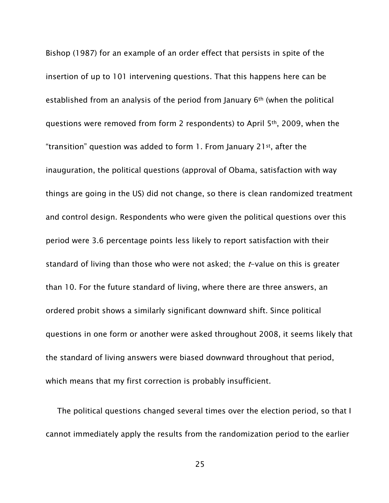Bishop (1987) for an example of an order effect that persists in spite of the insertion of up to 101 intervening questions. That this happens here can be established from an analysis of the period from January 6th (when the political questions were removed from form 2 respondents) to April 5th, 2009, when the "transition" question was added to form 1. From January 21st, after the inauguration, the political questions (approval of Obama, satisfaction with way things are going in the US) did not change, so there is clean randomized treatment and control design. Respondents who were given the political questions over this period were 3.6 percentage points less likely to report satisfaction with their standard of living than those who were not asked; the  $t$ -value on this is greater than 10. For the future standard of living, where there are three answers, an ordered probit shows a similarly significant downward shift. Since political questions in one form or another were asked throughout 2008, it seems likely that the standard of living answers were biased downward throughout that period, which means that my first correction is probably insufficient.

The political questions changed several times over the election period, so that I cannot immediately apply the results from the randomization period to the earlier

25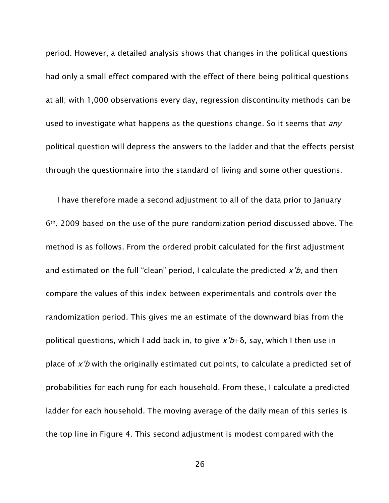period. However, a detailed analysis shows that changes in the political questions had only a small effect compared with the effect of there being political questions at all; with 1,000 observations every day, regression discontinuity methods can be used to investigate what happens as the questions change. So it seems that *any* political question will depress the answers to the ladder and that the effects persist through the questionnaire into the standard of living and some other questions.

I have therefore made a second adjustment to all of the data prior to January 6th, 2009 based on the use of the pure randomization period discussed above. The method is as follows. From the ordered probit calculated for the first adjustment and estimated on the full "clean" period, I calculate the predicted  $x'b$ , and then compare the values of this index between experimentals and controls over the randomization period. This gives me an estimate of the downward bias from the political questions, which I add back in, to give  $x'b+\delta$ , say, which I then use in place of  $x'b$  with the originally estimated cut points, to calculate a predicted set of probabilities for each rung for each household. From these, I calculate a predicted ladder for each household. The moving average of the daily mean of this series is the top line in Figure 4. This second adjustment is modest compared with the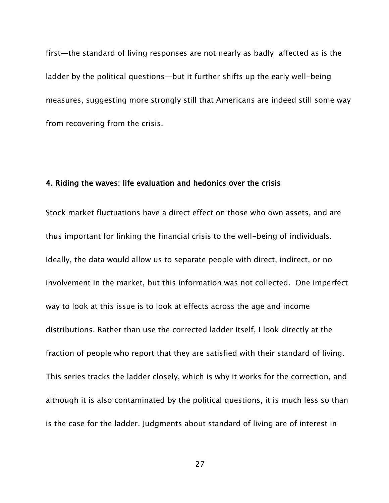first—the standard of living responses are not nearly as badly affected as is the ladder by the political questions—but it further shifts up the early well-being measures, suggesting more strongly still that Americans are indeed still some way from recovering from the crisis.

### 4. Riding the waves: life evaluation and hedonics over the crisis

Stock market fluctuations have a direct effect on those who own assets, and are thus important for linking the financial crisis to the well-being of individuals. Ideally, the data would allow us to separate people with direct, indirect, or no involvement in the market, but this information was not collected. One imperfect way to look at this issue is to look at effects across the age and income distributions. Rather than use the corrected ladder itself, I look directly at the fraction of people who report that they are satisfied with their standard of living. This series tracks the ladder closely, which is why it works for the correction, and although it is also contaminated by the political questions, it is much less so than is the case for the ladder. Judgments about standard of living are of interest in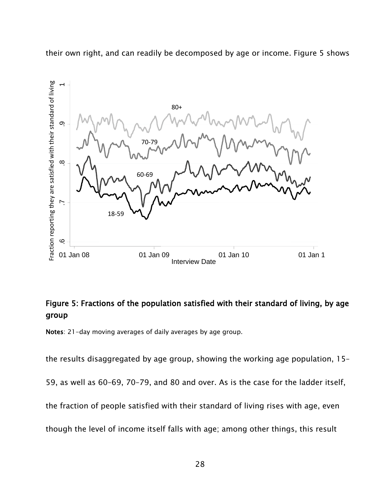their own right, and can readily be decomposed by age or income. Figure 5 shows



## Figure 5: Fractions of the population satisfied with their standard of living, by age group

Notes: 21-day moving averages of daily averages by age group.

the results disaggregated by age group, showing the working age population, 15–

59, as well as 60–69, 70–79, and 80 and over. As is the case for the ladder itself,

the fraction of people satisfied with their standard of living rises with age, even

though the level of income itself falls with age; among other things, this result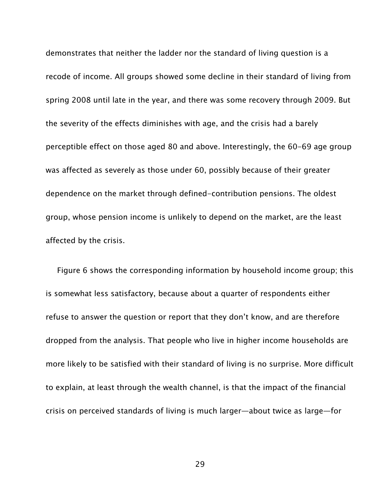demonstrates that neither the ladder nor the standard of living question is a recode of income. All groups showed some decline in their standard of living from spring 2008 until late in the year, and there was some recovery through 2009. But the severity of the effects diminishes with age, and the crisis had a barely perceptible effect on those aged 80 and above. Interestingly, the 60-69 age group was affected as severely as those under 60, possibly because of their greater dependence on the market through defined-contribution pensions. The oldest group, whose pension income is unlikely to depend on the market, are the least affected by the crisis.

Figure 6 shows the corresponding information by household income group; this is somewhat less satisfactory, because about a quarter of respondents either refuse to answer the question or report that they don't know, and are therefore dropped from the analysis. That people who live in higher income households are more likely to be satisfied with their standard of living is no surprise. More difficult to explain, at least through the wealth channel, is that the impact of the financial crisis on perceived standards of living is much larger—about twice as large—for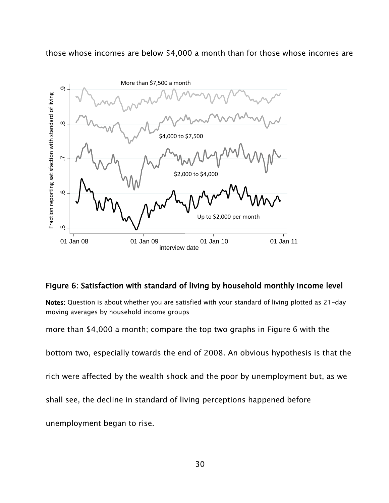those whose incomes are below \$4,000 a month than for those whose incomes are



### Figure 6: Satisfaction with standard of living by household monthly income level

Notes: Question is about whether you are satisfied with your standard of living plotted as 21-day moving averages by household income groups

more than \$4,000 a month; compare the top two graphs in Figure 6 with the

bottom two, especially towards the end of 2008. An obvious hypothesis is that the

rich were affected by the wealth shock and the poor by unemployment but, as we

shall see, the decline in standard of living perceptions happened before

unemployment began to rise.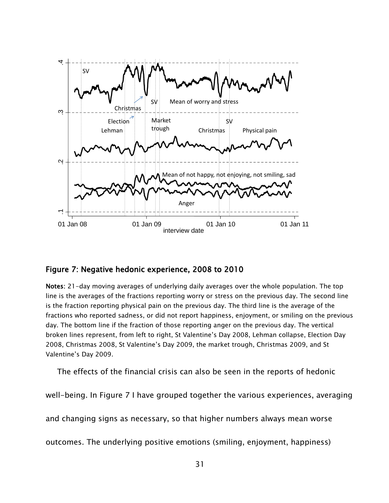

### Figure 7: Negative hedonic experience, 2008 to 2010

Notes: 21-day moving averages of underlying daily averages over the whole population. The top line is the averages of the fractions reporting worry or stress on the previous day. The second line is the fraction reporting physical pain on the previous day. The third line is the average of the fractions who reported sadness, or did not report happiness, enjoyment, or smiling on the previous day. The bottom line if the fraction of those reporting anger on the previous day. The vertical broken lines represent, from left to right, St Valentine's Day 2008, Lehman collapse, Election Day 2008, Christmas 2008, St Valentine's Day 2009, the market trough, Christmas 2009, and St Valentine's Day 2009.

The effects of the financial crisis can also be seen in the reports of hedonic

well-being. In Figure 7 I have grouped together the various experiences, averaging

and changing signs as necessary, so that higher numbers always mean worse

outcomes. The underlying positive emotions (smiling, enjoyment, happiness)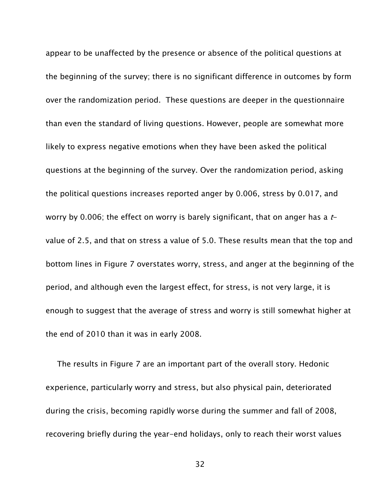appear to be unaffected by the presence or absence of the political questions at the beginning of the survey; there is no significant difference in outcomes by form over the randomization period. These questions are deeper in the questionnaire than even the standard of living questions. However, people are somewhat more likely to express negative emotions when they have been asked the political questions at the beginning of the survey. Over the randomization period, asking the political questions increases reported anger by 0.006, stress by 0.017, and worry by 0.006; the effect on worry is barely significant, that on anger has a  $t$ value of 2.5, and that on stress a value of 5.0. These results mean that the top and bottom lines in Figure 7 overstates worry, stress, and anger at the beginning of the period, and although even the largest effect, for stress, is not very large, it is enough to suggest that the average of stress and worry is still somewhat higher at the end of 2010 than it was in early 2008.

The results in Figure 7 are an important part of the overall story. Hedonic experience, particularly worry and stress, but also physical pain, deteriorated during the crisis, becoming rapidly worse during the summer and fall of 2008, recovering briefly during the year-end holidays, only to reach their worst values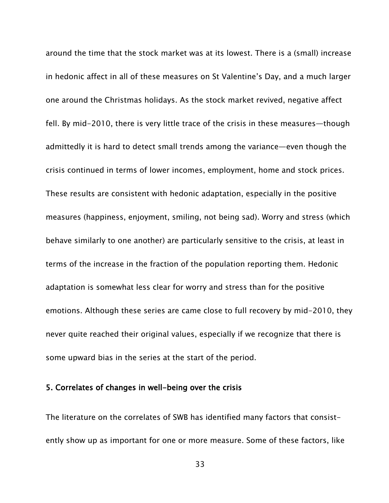around the time that the stock market was at its lowest. There is a (small) increase in hedonic affect in all of these measures on St Valentine's Day, and a much larger one around the Christmas holidays. As the stock market revived, negative affect fell. By mid-2010, there is very little trace of the crisis in these measures—though admittedly it is hard to detect small trends among the variance—even though the crisis continued in terms of lower incomes, employment, home and stock prices. These results are consistent with hedonic adaptation, especially in the positive measures (happiness, enjoyment, smiling, not being sad). Worry and stress (which behave similarly to one another) are particularly sensitive to the crisis, at least in terms of the increase in the fraction of the population reporting them. Hedonic adaptation is somewhat less clear for worry and stress than for the positive emotions. Although these series are came close to full recovery by mid-2010, they never quite reached their original values, especially if we recognize that there is some upward bias in the series at the start of the period.

#### 5. Correlates of changes in well-being over the crisis

The literature on the correlates of SWB has identified many factors that consistently show up as important for one or more measure. Some of these factors, like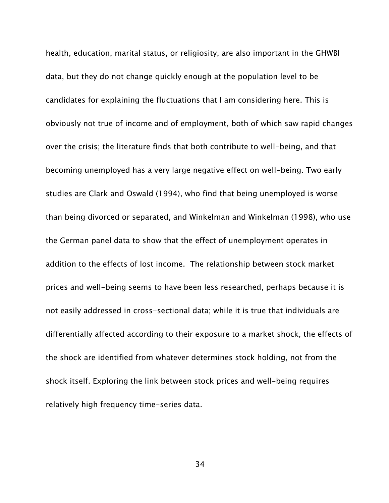health, education, marital status, or religiosity, are also important in the GHWBI data, but they do not change quickly enough at the population level to be candidates for explaining the fluctuations that I am considering here. This is obviously not true of income and of employment, both of which saw rapid changes over the crisis; the literature finds that both contribute to well-being, and that becoming unemployed has a very large negative effect on well-being. Two early studies are Clark and Oswald (1994), who find that being unemployed is worse than being divorced or separated, and Winkelman and Winkelman (1998), who use the German panel data to show that the effect of unemployment operates in addition to the effects of lost income. The relationship between stock market prices and well-being seems to have been less researched, perhaps because it is not easily addressed in cross-sectional data; while it is true that individuals are differentially affected according to their exposure to a market shock, the effects of the shock are identified from whatever determines stock holding, not from the shock itself. Exploring the link between stock prices and well-being requires relatively high frequency time-series data.

34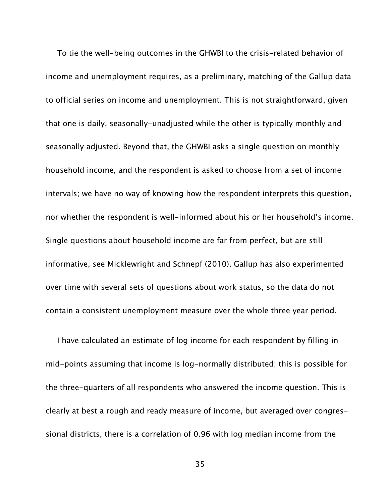To tie the well-being outcomes in the GHWBI to the crisis-related behavior of income and unemployment requires, as a preliminary, matching of the Gallup data to official series on income and unemployment. This is not straightforward, given that one is daily, seasonally-unadjusted while the other is typically monthly and seasonally adjusted. Beyond that, the GHWBI asks a single question on monthly household income, and the respondent is asked to choose from a set of income intervals; we have no way of knowing how the respondent interprets this question, nor whether the respondent is well-informed about his or her household's income. Single questions about household income are far from perfect, but are still informative, see Micklewright and Schnepf (2010). Gallup has also experimented over time with several sets of questions about work status, so the data do not contain a consistent unemployment measure over the whole three year period.

I have calculated an estimate of log income for each respondent by filling in mid-points assuming that income is log-normally distributed; this is possible for the three-quarters of all respondents who answered the income question. This is clearly at best a rough and ready measure of income, but averaged over congressional districts, there is a correlation of 0.96 with log median income from the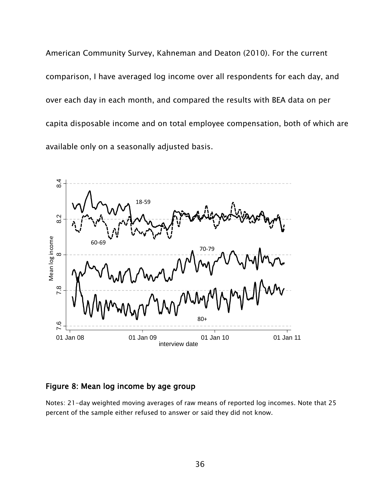American Community Survey, Kahneman and Deaton (2010). For the current comparison, I have averaged log income over all respondents for each day, and over each day in each month, and compared the results with BEA data on per capita disposable income and on total employee compensation, both of which are available only on a seasonally adjusted basis.



### Figure 8: Mean log income by age group

Notes: 21-day weighted moving averages of raw means of reported log incomes. Note that 25 percent of the sample either refused to answer or said they did not know.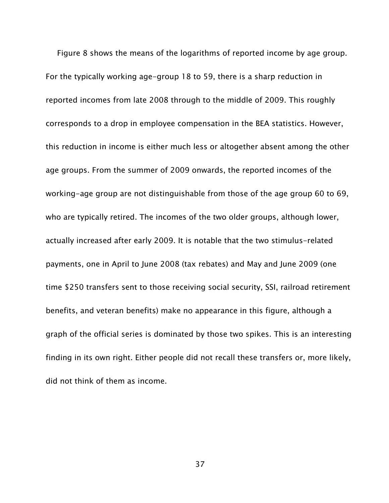Figure 8 shows the means of the logarithms of reported income by age group. For the typically working age-group 18 to 59, there is a sharp reduction in reported incomes from late 2008 through to the middle of 2009. This roughly corresponds to a drop in employee compensation in the BEA statistics. However, this reduction in income is either much less or altogether absent among the other age groups. From the summer of 2009 onwards, the reported incomes of the working-age group are not distinguishable from those of the age group 60 to 69, who are typically retired. The incomes of the two older groups, although lower, actually increased after early 2009. It is notable that the two stimulus-related payments, one in April to June 2008 (tax rebates) and May and June 2009 (one time \$250 transfers sent to those receiving social security, SSI, railroad retirement benefits, and veteran benefits) make no appearance in this figure, although a graph of the official series is dominated by those two spikes. This is an interesting finding in its own right. Either people did not recall these transfers or, more likely, did not think of them as income.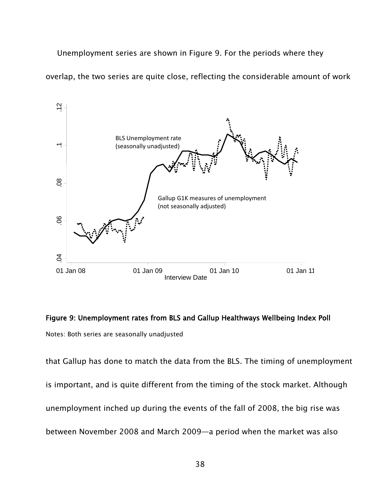Unemployment series are shown in Figure 9. For the periods where they

overlap, the two series are quite close, reflecting the considerable amount of work



# Figure 9: Unemployment rates from BLS and Gallup Healthways Wellbeing Index Poll Notes: Both series are seasonally unadjusted

that Gallup has done to match the data from the BLS. The timing of unemployment is important, and is quite different from the timing of the stock market. Although unemployment inched up during the events of the fall of 2008, the big rise was between November 2008 and March 2009—a period when the market was also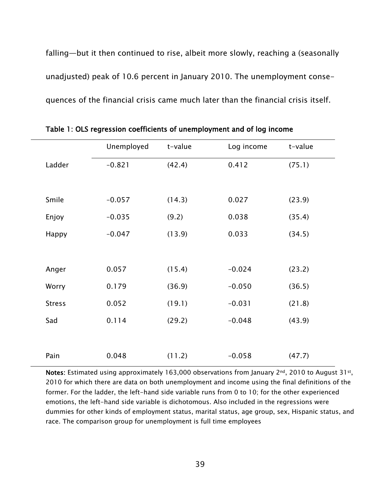falling—but it then continued to rise, albeit more slowly, reaching a (seasonally unadjusted) peak of 10.6 percent in January 2010. The unemployment consequences of the financial crisis came much later than the financial crisis itself.

|               | Unemployed | t-value | Log income | t-value |
|---------------|------------|---------|------------|---------|
| Ladder        | $-0.821$   | (42.4)  | 0.412      | (75.1)  |
|               |            |         |            |         |
| Smile         | $-0.057$   | (14.3)  | 0.027      | (23.9)  |
| Enjoy         | $-0.035$   | (9.2)   | 0.038      | (35.4)  |
| Happy         | $-0.047$   | (13.9)  | 0.033      | (34.5)  |
|               |            |         |            |         |
| Anger         | 0.057      | (15.4)  | $-0.024$   | (23.2)  |
| Worry         | 0.179      | (36.9)  | $-0.050$   | (36.5)  |
| <b>Stress</b> | 0.052      | (19.1)  | $-0.031$   | (21.8)  |
| Sad           | 0.114      | (29.2)  | $-0.048$   | (43.9)  |
|               |            |         |            |         |
| Pain          | 0.048      | (11.2)  | $-0.058$   | (47.7)  |

Table 1: OLS regression coefficients of unemployment and of log income

Notes: Estimated using approximately 163,000 observations from January  $2^{nd}$ , 2010 to August 31st, 2010 for which there are data on both unemployment and income using the final definitions of the former. For the ladder, the left-hand side variable runs from 0 to 10; for the other experienced emotions, the left-hand side variable is dichotomous. Also included in the regressions were dummies for other kinds of employment status, marital status, age group, sex, Hispanic status, and race. The comparison group for unemployment is full time employees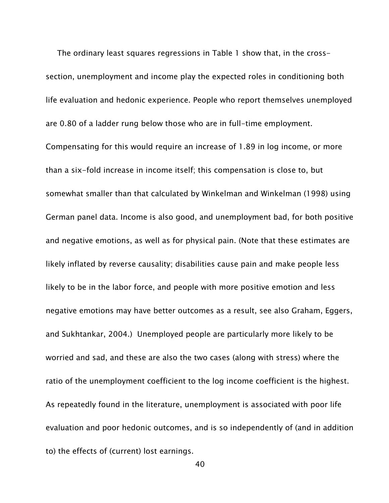The ordinary least squares regressions in Table 1 show that, in the crosssection, unemployment and income play the expected roles in conditioning both life evaluation and hedonic experience. People who report themselves unemployed are 0.80 of a ladder rung below those who are in full-time employment. Compensating for this would require an increase of 1.89 in log income, or more than a six-fold increase in income itself; this compensation is close to, but somewhat smaller than that calculated by Winkelman and Winkelman (1998) using German panel data. Income is also good, and unemployment bad, for both positive and negative emotions, as well as for physical pain. (Note that these estimates are likely inflated by reverse causality; disabilities cause pain and make people less likely to be in the labor force, and people with more positive emotion and less negative emotions may have better outcomes as a result, see also Graham, Eggers, and Sukhtankar, 2004.) Unemployed people are particularly more likely to be worried and sad, and these are also the two cases (along with stress) where the ratio of the unemployment coefficient to the log income coefficient is the highest. As repeatedly found in the literature, unemployment is associated with poor life evaluation and poor hedonic outcomes, and is so independently of (and in addition to) the effects of (current) lost earnings.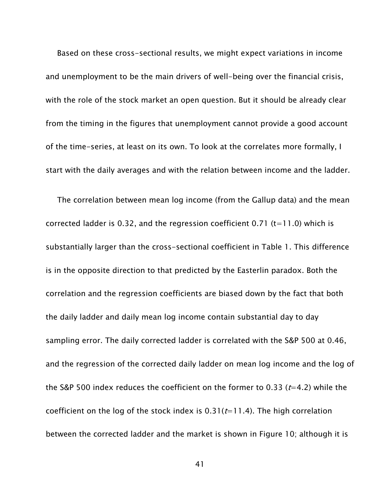Based on these cross-sectional results, we might expect variations in income and unemployment to be the main drivers of well-being over the financial crisis, with the role of the stock market an open question. But it should be already clear from the timing in the figures that unemployment cannot provide a good account of the time-series, at least on its own. To look at the correlates more formally, I start with the daily averages and with the relation between income and the ladder.

The correlation between mean log income (from the Gallup data) and the mean corrected ladder is 0.32, and the regression coefficient 0.71 ( $t=11.0$ ) which is substantially larger than the cross-sectional coefficient in Table 1. This difference is in the opposite direction to that predicted by the Easterlin paradox. Both the correlation and the regression coefficients are biased down by the fact that both the daily ladder and daily mean log income contain substantial day to day sampling error. The daily corrected ladder is correlated with the S&P 500 at 0.46, and the regression of the corrected daily ladder on mean log income and the log of the S&P 500 index reduces the coefficient on the former to 0.33 ( $t=4.2$ ) while the coefficient on the log of the stock index is  $0.31(t=11.4)$ . The high correlation between the corrected ladder and the market is shown in Figure 10; although it is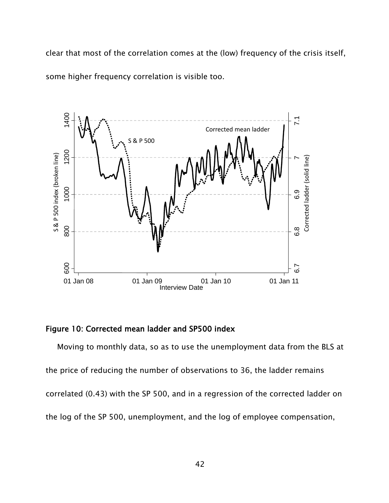clear that most of the correlation comes at the (low) frequency of the crisis itself, some higher frequency correlation is visible too.



### Figure 10: Corrected mean ladder and SP500 index

Moving to monthly data, so as to use the unemployment data from the BLS at the price of reducing the number of observations to 36, the ladder remains correlated (0.43) with the SP 500, and in a regression of the corrected ladder on the log of the SP 500, unemployment, and the log of employee compensation,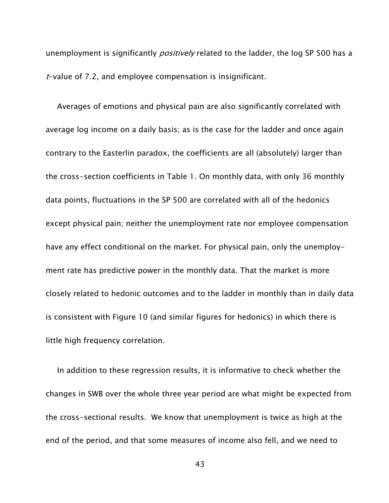unemployment is significantly *positively* related to the ladder, the log SP 500 has a  $t$ -value of 7.2, and employee compensation is insignificant.

Averages of emotions and physical pain are also significantly correlated with average log income on a daily basis; as is the case for the ladder and once again contrary to the Easterlin paradox, the coefficients are all (absolutely) larger than the cross-section coefficients in Table 1. On monthly data, with only 36 monthly data points, fluctuations in the SP 500 are correlated with all of the hedonics except physical pain; neither the unemployment rate nor employee compensation have any effect conditional on the market. For physical pain, only the unemployment rate has predictive power in the monthly data. That the market is more closely related to hedonic outcomes and to the ladder in monthly than in daily data is consistent with Figure 10 (and similar figures for hedonics) in which there is little high frequency correlation.

In addition to these regression results, it is informative to check whether the changes in SWB over the whole three year period are what might be expected from the cross-sectional results. We know that unemployment is twice as high at the end of the period, and that some measures of income also fell, and we need to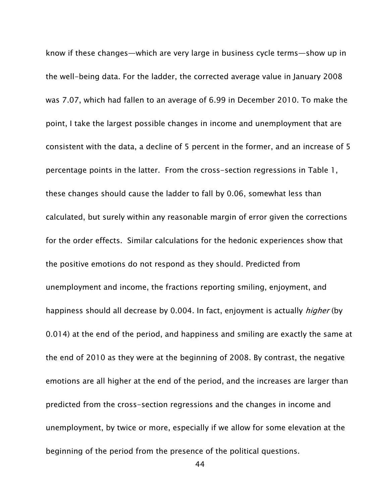know if these changes—which are very large in business cycle terms—show up in the well-being data. For the ladder, the corrected average value in January 2008 was 7.07, which had fallen to an average of 6.99 in December 2010. To make the point, I take the largest possible changes in income and unemployment that are consistent with the data, a decline of 5 percent in the former, and an increase of 5 percentage points in the latter. From the cross-section regressions in Table 1, these changes should cause the ladder to fall by 0.06, somewhat less than calculated, but surely within any reasonable margin of error given the corrections for the order effects. Similar calculations for the hedonic experiences show that the positive emotions do not respond as they should. Predicted from unemployment and income, the fractions reporting smiling, enjoyment, and happiness should all decrease by 0.004. In fact, enjoyment is actually *higher* (by 0.014) at the end of the period, and happiness and smiling are exactly the same at the end of 2010 as they were at the beginning of 2008. By contrast, the negative emotions are all higher at the end of the period, and the increases are larger than predicted from the cross-section regressions and the changes in income and unemployment, by twice or more, especially if we allow for some elevation at the beginning of the period from the presence of the political questions.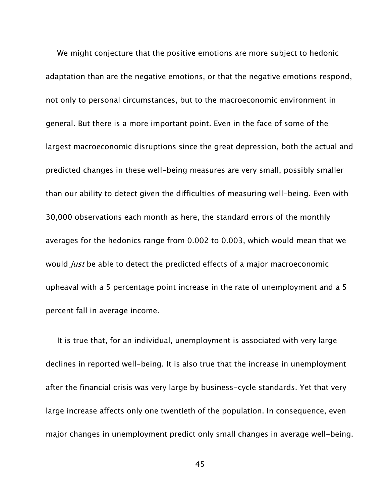We might conjecture that the positive emotions are more subject to hedonic adaptation than are the negative emotions, or that the negative emotions respond, not only to personal circumstances, but to the macroeconomic environment in general. But there is a more important point. Even in the face of some of the largest macroeconomic disruptions since the great depression, both the actual and predicted changes in these well-being measures are very small, possibly smaller than our ability to detect given the difficulties of measuring well-being. Even with 30,000 observations each month as here, the standard errors of the monthly averages for the hedonics range from 0.002 to 0.003, which would mean that we would *just* be able to detect the predicted effects of a major macroeconomic upheaval with a 5 percentage point increase in the rate of unemployment and a 5 percent fall in average income.

 It is true that, for an individual, unemployment is associated with very large declines in reported well-being. It is also true that the increase in unemployment after the financial crisis was very large by business-cycle standards. Yet that very large increase affects only one twentieth of the population. In consequence, even major changes in unemployment predict only small changes in average well-being.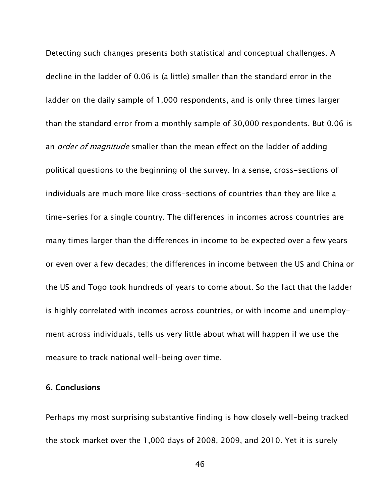Detecting such changes presents both statistical and conceptual challenges. A decline in the ladder of 0.06 is (a little) smaller than the standard error in the ladder on the daily sample of 1,000 respondents, and is only three times larger than the standard error from a monthly sample of 30,000 respondents. But 0.06 is an *order of magnitude* smaller than the mean effect on the ladder of adding political questions to the beginning of the survey. In a sense, cross-sections of individuals are much more like cross-sections of countries than they are like a time-series for a single country. The differences in incomes across countries are many times larger than the differences in income to be expected over a few years or even over a few decades; the differences in income between the US and China or the US and Togo took hundreds of years to come about. So the fact that the ladder is highly correlated with incomes across countries, or with income and unemployment across individuals, tells us very little about what will happen if we use the measure to track national well-being over time.

#### 6. Conclusions

Perhaps my most surprising substantive finding is how closely well-being tracked the stock market over the 1,000 days of 2008, 2009, and 2010. Yet it is surely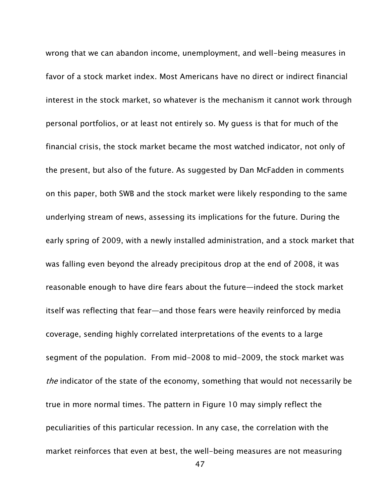wrong that we can abandon income, unemployment, and well-being measures in favor of a stock market index. Most Americans have no direct or indirect financial interest in the stock market, so whatever is the mechanism it cannot work through personal portfolios, or at least not entirely so. My guess is that for much of the financial crisis, the stock market became the most watched indicator, not only of the present, but also of the future. As suggested by Dan McFadden in comments on this paper, both SWB and the stock market were likely responding to the same underlying stream of news, assessing its implications for the future. During the early spring of 2009, with a newly installed administration, and a stock market that was falling even beyond the already precipitous drop at the end of 2008, it was reasonable enough to have dire fears about the future—indeed the stock market itself was reflecting that fear—and those fears were heavily reinforced by media coverage, sending highly correlated interpretations of the events to a large segment of the population. From mid-2008 to mid-2009, the stock market was the indicator of the state of the economy, something that would not necessarily be true in more normal times. The pattern in Figure 10 may simply reflect the peculiarities of this particular recession. In any case, the correlation with the market reinforces that even at best, the well-being measures are not measuring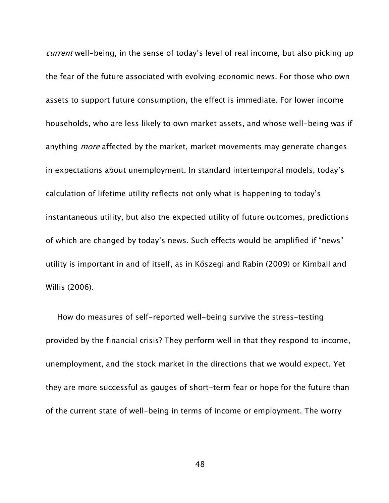current well-being, in the sense of today's level of real income, but also picking up the fear of the future associated with evolving economic news. For those who own assets to support future consumption, the effect is immediate. For lower income households, who are less likely to own market assets, and whose well-being was if anything *more* affected by the market, market movements may generate changes in expectations about unemployment. In standard intertemporal models, today's calculation of lifetime utility reflects not only what is happening to today's instantaneous utility, but also the expected utility of future outcomes, predictions of which are changed by today's news. Such effects would be amplified if "news" utility is important in and of itself, as in Kőszegi and Rabin (2009) or Kimball and Willis (2006).

How do measures of self-reported well-being survive the stress-testing provided by the financial crisis? They perform well in that they respond to income, unemployment, and the stock market in the directions that we would expect. Yet they are more successful as gauges of short-term fear or hope for the future than of the current state of well-being in terms of income or employment. The worry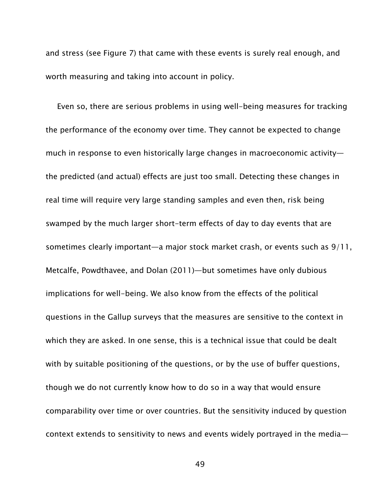and stress (see Figure 7) that came with these events is surely real enough, and worth measuring and taking into account in policy.

Even so, there are serious problems in using well-being measures for tracking the performance of the economy over time. They cannot be expected to change much in response to even historically large changes in macroeconomic activity the predicted (and actual) effects are just too small. Detecting these changes in real time will require very large standing samples and even then, risk being swamped by the much larger short-term effects of day to day events that are sometimes clearly important—a major stock market crash, or events such as 9/11, Metcalfe, Powdthavee, and Dolan (2011)—but sometimes have only dubious implications for well-being. We also know from the effects of the political questions in the Gallup surveys that the measures are sensitive to the context in which they are asked. In one sense, this is a technical issue that could be dealt with by suitable positioning of the questions, or by the use of buffer questions, though we do not currently know how to do so in a way that would ensure comparability over time or over countries. But the sensitivity induced by question context extends to sensitivity to news and events widely portrayed in the media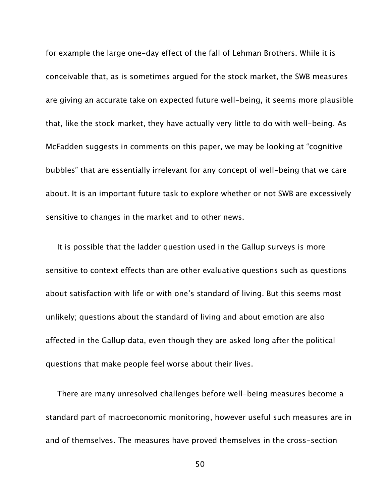for example the large one-day effect of the fall of Lehman Brothers. While it is conceivable that, as is sometimes argued for the stock market, the SWB measures are giving an accurate take on expected future well-being, it seems more plausible that, like the stock market, they have actually very little to do with well-being. As McFadden suggests in comments on this paper, we may be looking at "cognitive bubbles" that are essentially irrelevant for any concept of well-being that we care about. It is an important future task to explore whether or not SWB are excessively sensitive to changes in the market and to other news.

It is possible that the ladder question used in the Gallup surveys is more sensitive to context effects than are other evaluative questions such as questions about satisfaction with life or with one's standard of living. But this seems most unlikely; questions about the standard of living and about emotion are also affected in the Gallup data, even though they are asked long after the political questions that make people feel worse about their lives.

There are many unresolved challenges before well-being measures become a standard part of macroeconomic monitoring, however useful such measures are in and of themselves. The measures have proved themselves in the cross-section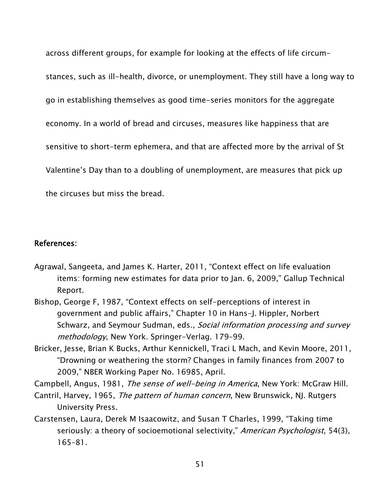across different groups, for example for looking at the effects of life circumstances, such as ill-health, divorce, or unemployment. They still have a long way to go in establishing themselves as good time-series monitors for the aggregate economy. In a world of bread and circuses, measures like happiness that are sensitive to short-term ephemera, and that are affected more by the arrival of St Valentine's Day than to a doubling of unemployment, are measures that pick up the circuses but miss the bread.

### References:

- Agrawal, Sangeeta, and James K. Harter, 2011, "Context effect on life evaluation items: forming new estimates for data prior to Jan. 6, 2009," Gallup Technical Report.
- Bishop, George F, 1987, "Context effects on self-perceptions of interest in government and public affairs," Chapter 10 in Hans-J. Hippler, Norbert Schwarz, and Seymour Sudman, eds., Social information processing and survey methodology, New York. Springer-Verlag. 179–99.
- Bricker, Jesse, Brian K Bucks, Arthur Kennickell, Traci L Mach, and Kevin Moore, 2011, "Drowning or weathering the storm? Changes in family finances from 2007 to 2009," NBER Working Paper No. 16985, April.

Campbell, Angus, 1981, The sense of well-being in America, New York: McGraw Hill.

- Cantril, Harvey, 1965, The pattern of human concern, New Brunswick, NJ. Rutgers University Press.
- Carstensen, Laura, Derek M Isaacowitz, and Susan T Charles, 1999, "Taking time seriously: a theory of socioemotional selectivity," American Psychologist, 54(3), 165–81.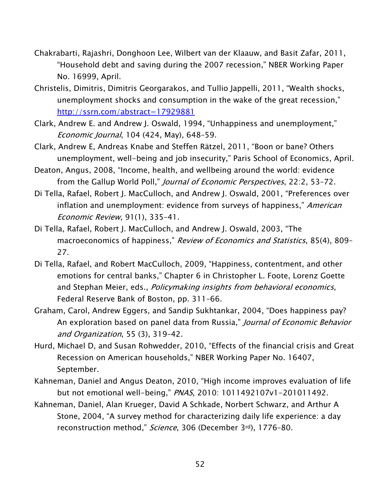- Chakrabarti, Rajashri, Donghoon Lee, Wilbert van der Klaauw, and Basit Zafar, 2011, "Household debt and saving during the 2007 recession," NBER Working Paper No. 16999, April.
- Christelis, Dimitris, Dimitris Georgarakos, and Tullio Jappelli, 2011, "Wealth shocks, unemployment shocks and consumption in the wake of the great recession," <http://ssrn.com/abstract=17929881>
- Clark, Andrew E. and Andrew J. Oswald, 1994, "Unhappiness and unemployment," Economic Journal, 104 (424, May), 648–59.
- Clark, Andrew E, Andreas Knabe and Steffen Rätzel, 2011, "Boon or bane? Others unemployment, well-being and job insecurity," Paris School of Economics, April.
- Deaton, Angus, 2008, "Income, health, and wellbeing around the world: evidence from the Gallup World Poll," *Journal of Economic Perspectives*, 22:2, 53-72.
- Di Tella, Rafael, Robert J. MacCulloch, and Andrew J. Oswald, 2001, "Preferences over inflation and unemployment: evidence from surveys of happiness," American Economic Review, 91(1), 335–41.
- Di Tella, Rafael, Robert J. MacCulloch, and Andrew J. Oswald, 2003, "The macroeconomics of happiness," Review of Economics and Statistics, 85(4), 809-27.
- Di Tella, Rafael, and Robert MacCulloch, 2009, "Happiness, contentment, and other emotions for central banks," Chapter 6 in Christopher L. Foote, Lorenz Goette and Stephan Meier, eds., Policymaking insights from behavioral economics, Federal Reserve Bank of Boston, pp. 311–66.
- Graham, Carol, Andrew Eggers, and Sandip Sukhtankar, 2004, "Does happiness pay? An exploration based on panel data from Russia," Journal of Economic Behavior and Organization, 55 (3), 319–42.
- Hurd, Michael D, and Susan Rohwedder, 2010, "Effects of the financial crisis and Great Recession on American households," NBER Working Paper No. 16407, September.
- Kahneman, Daniel and Angus Deaton, 2010, "High income improves evaluation of life but not emotional well-being," PNAS, 2010: 1011492107v1-201011492.
- Kahneman, Daniel, Alan Krueger, David A Schkade, Norbert Schwarz, and Arthur A Stone, 2004, "A survey method for characterizing daily life experience: a day reconstruction method," Science, 306 (December 3rd), 1776-80.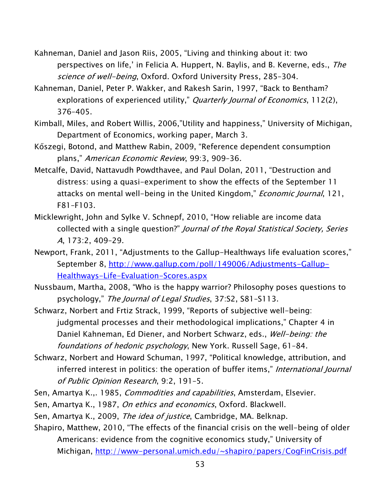- Kahneman, Daniel and Jason Riis, 2005, "Living and thinking about it: two perspectives on life,' in Felicia A. Huppert, N. Baylis, and B. Keverne, eds., The science of well-being, Oxford. Oxford University Press, 285-304.
- Kahneman, Daniel, Peter P. Wakker, and Rakesh Sarin, 1997, "Back to Bentham? explorations of experienced utility," Quarterly Journal of Economics, 112(2), 376–405.
- Kimball, Miles, and Robert Willis, 2006,"Utility and happiness," University of Michigan, Department of Economics, working paper, March 3.
- Kőszegi, Botond, and Matthew Rabin, 2009, "Reference dependent consumption plans," American Economic Review, 99:3, 909–36.
- Metcalfe, David, Nattavudh Powdthavee, and Paul Dolan, 2011, "Destruction and distress: using a quasi-experiment to show the effects of the September 11 attacks on mental well-being in the United Kingdom," *Economic Journal*, 121, F81–F103.
- Micklewright, John and Sylke V. Schnepf, 2010, "How reliable are income data collected with a single question?" Journal of the Royal Statistical Society, Series A, 173:2, 409–29.
- Newport, Frank, 2011, "Adjustments to the Gallup-Healthways life evaluation scores," September 8, [http://www.gallup.com/poll/149006/Adjustments-Gallup-](http://www.gallup.com/poll/149006/Adjustments-Gallup-Healthways-Life-Evaluation-Scores.aspx)[Healthways-Life-Evaluation-Scores.aspx](http://www.gallup.com/poll/149006/Adjustments-Gallup-Healthways-Life-Evaluation-Scores.aspx)
- Nussbaum, Martha, 2008, "Who is the happy warrior? Philosophy poses questions to psychology," The Journal of Legal Studies, 37:S2, S81–S113.
- Schwarz, Norbert and Frtiz Strack, 1999, "Reports of subjective well-being: judgmental processes and their methodological implications," Chapter 4 in Daniel Kahneman, Ed Diener, and Norbert Schwarz, eds., *Well-being: the* foundations of hedonic psychology, New York. Russell Sage, 61–84.
- Schwarz, Norbert and Howard Schuman, 1997, "Political knowledge, attribution, and inferred interest in politics: the operation of buffer items," International Journal of Public Opinion Research, 9:2, 191–5.
- Sen, Amartya K.,. 1985, *Commodities and capabilities*, Amsterdam, Elsevier.
- Sen, Amartya K., 1987, On ethics and economics, Oxford. Blackwell.
- Sen, Amartya K., 2009, The idea of justice, Cambridge, MA. Belknap.
- Shapiro, Matthew, 2010, "The effects of the financial crisis on the well-being of older Americans: evidence from the cognitive economics study," University of Michigan,<http://www-personal.umich.edu/~shapiro/papers/CogFinCrisis.pdf>